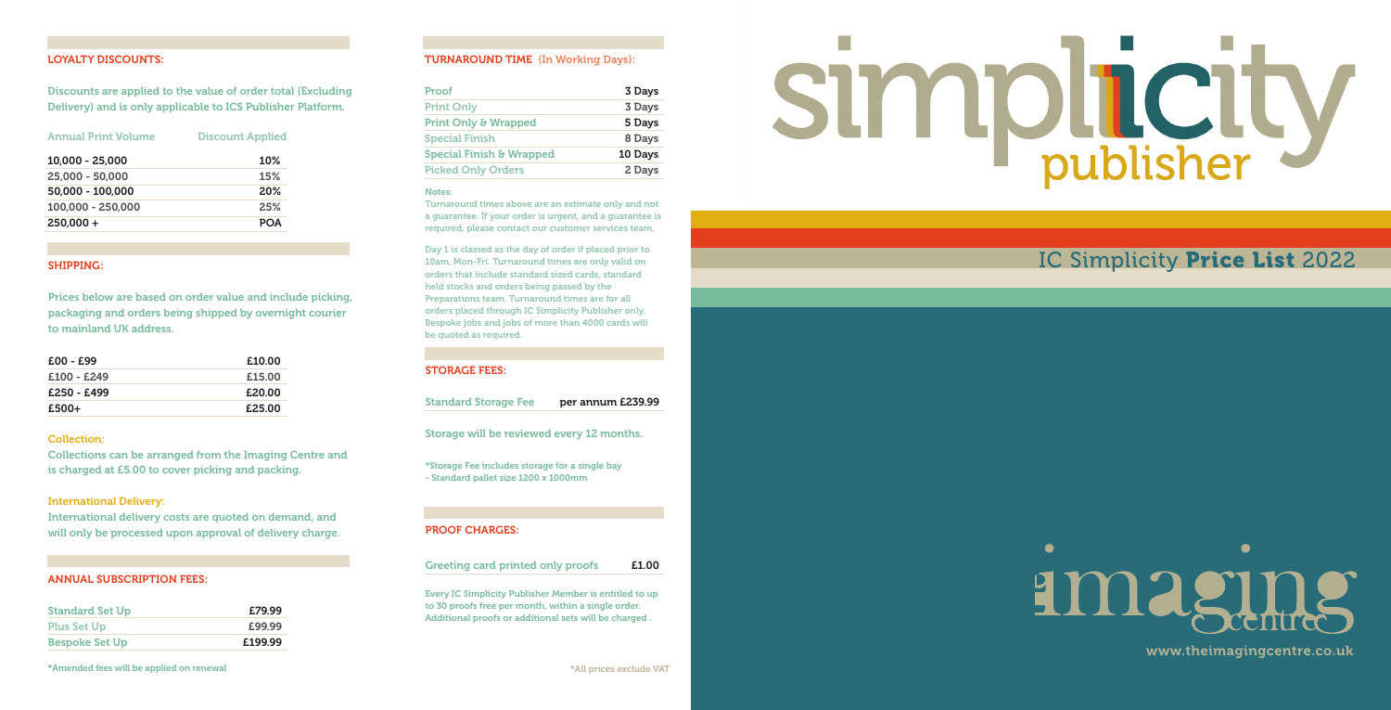#### LOYALTY DISCOUNTS:

Discounts are applied to the value of order total (Excluding Delivery) and is only applicable to ICS Publisher Platform.

| <b>Annual Print Volume</b> | <b>Discount Applied</b> |  |
|----------------------------|-------------------------|--|
| 10,000 - 25,000            | 10%                     |  |
| 25,000 - 50,000            | 15%                     |  |
| 50,000 - 100,000           | 20%                     |  |
| 100,000 - 250,000          | 2.5%                    |  |
| $250.000 +$                | <b>POA</b>              |  |

#### SHIPPING:

Prices below are based on order value and include picking, packaging and orders being shipped by overnight courier to mainland UK address.

| $£00 - £99$ | £10.00 |
|-------------|--------|
| £100 - £249 | £15.00 |
| £250 - £499 | £20.00 |
| £500+       | £25.00 |

#### Collection:

Collections can be arranged from the Imaging Centre and is charged at £5.00 to cover picking and packing.

#### International Delivery:

International delivery costs are quoted on demand, and will only be processed upon approval of delivery charge.

#### ANNUAL SUBSCRIPTION FEES:

| <b>Standard Set Up</b> | £79.99  |
|------------------------|---------|
| <b>Plus Set Up</b>     | £99.99  |
| <b>Bespoke Set Up</b>  | £199.99 |

#### TURNAROUND TIME (In Working Days):

| Proof                           | 3 Days  |
|---------------------------------|---------|
| <b>Print Only</b>               | 3 Days  |
| <b>Print Only &amp; Wrapped</b> | 5 Days  |
| <b>Special Finish</b>           | 8 Days  |
| Special Finish & Wrapped        | 10 Days |
| <b>Picked Only Orders</b>       | 2 Days  |

# Notes:

Turnaround times above are an estimate only and not a guarantee. If your order is urgent, and a guarantee is required, please contact our customer services team.

Day 1 is classed as the day of order if placed prior to 10am, Mon-Fri. Turnaround times are only valid on orders that include standard sized cards, standard held stocks and orders being passed by the Preparations team. Turnaround times are for all orders placed through IC Simplicity Publisher only. Bespoke jobs and jobs of more than 4000 cards will be quoted as required.

#### STORAGE FEES:

Standard Storage Fee per annum £239.99

Storage will be reviewed every 12 months.

\*Storage Fee includes storage for a single bay - Standard pallet size 1200 x 1000mm

### PROOF CHARGES:

Greeting card printed only proofs **E1.00** 

Every IC Simplicity Publisher Member is entitled to up to 30 proofs free per month, within a single order. Additional proofs or additional sets will be charged .



# IC Simplicity Price List 2022

# $\bullet$  $\bullet$ amaging

www.theimagingcentre.co.uk